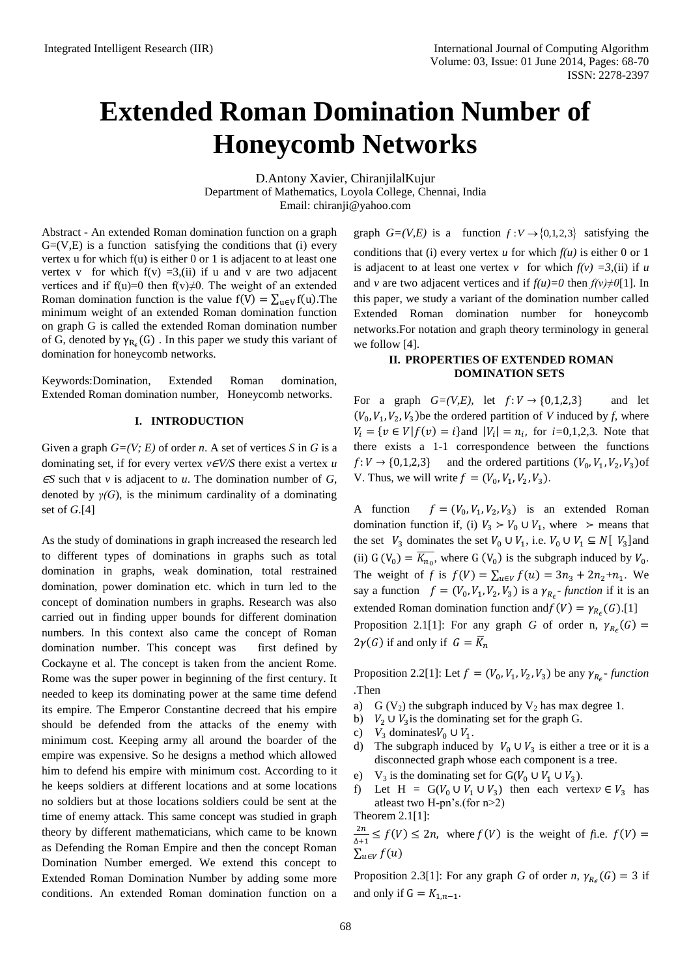# **Extended Roman Domination Number of Honeycomb Networks**

D.Antony Xavier, ChiranjilalKujur Department of Mathematics, Loyola College, Chennai, India Email: [chiranji@yahoo.com](mailto:chiranji@yahoo.com)

Abstract - An extended Roman domination function on a graph  $G=(V,E)$  is a function satisfying the conditions that (i) every vertex u for which f(u) is either 0 or 1 is adjacent to at least one vertex v for which  $f(v) = 3$ , (ii) if u and v are two adjacent vertices and if f(u)=0 then f(v) $\neq$ 0. The weight of an extended Roman domination function is the value  $f(V) = \sum_{u \in V} f(u)$ . The minimum weight of an extended Roman domination function on graph G is called the extended Roman domination number of G, denoted by  $\gamma_{R_c}(G)$ . In this paper we study this variant of domination for honeycomb networks.

Keywords:Domination, Extended Roman domination, Extended Roman domination number, Honeycomb networks.

## **I. INTRODUCTION**

Given a graph *G=(V; E)* of order *n*. A set of vertices *S* in *G* is a dominating set, if for every vertex  $v \in V/S$  there exist a vertex *u*  $\epsilon$ *S* such that *v* is adjacent to *u*. The domination number of *G*, denoted by  $\gamma(G)$ , is the minimum cardinality of a dominating set of *G*.[4]

As the study of dominations in graph increased the research led to different types of dominations in graphs such as total domination in graphs, weak domination, total restrained domination, power domination etc. which in turn led to the concept of domination numbers in graphs. Research was also carried out in finding upper bounds for different domination numbers. In this context also came the concept of Roman domination number. This concept was first defined by Cockayne et al. The concept is taken from the ancient Rome. Rome was the super power in beginning of the first century. It needed to keep its dominating power at the same time defend its empire. The Emperor Constantine decreed that his empire should be defended from the attacks of the enemy with minimum cost. Keeping army all around the boarder of the empire was expensive. So he designs a method which allowed him to defend his empire with minimum cost. According to it he keeps soldiers at different locations and at some locations no soldiers but at those locations soldiers could be sent at the time of enemy attack. This same concept was studied in graph theory by different mathematicians, which came to be known as Defending the Roman Empire and then the concept Roman Domination Number emerged. We extend this concept to Extended Roman Domination Number by adding some more conditions. An extended Roman domination function on a

graph  $G=(V,E)$  is a function  $f: V \rightarrow \{0,1,2,3\}$  satisfying the conditions that (i) every vertex *u* for which  $f(u)$  is either 0 or 1 is adjacent to at least one vertex *v* for which  $f(v) = 3$ ,(ii) if *u* and *v* are two adjacent vertices and if  $f(u)=0$  then  $f(v)\neq 0$ [1]. In this paper, we study a variant of the domination number called Extended Roman domination number for honeycomb networks.For notation and graph theory terminology in general we follow [4].

## **II. PROPERTIES OF EXTENDED ROMAN DOMINATION SETS**

For a graph  $G=(V,E)$ , let  $f: V \rightarrow \{0,1,2,3\}$  and let  $(V_0, V_1, V_2, V_3)$  be the ordered partition of *V* induced by *f*, where  $V_i = \{ v \in V | f(v) = i \}$  and  $| V_i | = n_i$ , for *i*=0,1,2,3. Note that there exists a 1-1 correspondence between the functions  $f: V \to \{0, 1, 2, 3\}$  and the ordered partitions  $(V_0, V_1, V_2, V_3)$  of V. Thus, we will write  $f = (V_0, V_1, V_2, V_3)$ .

A function (  $,V_1, V_2, V_3$ ) is an extended Roman domination function if, (i)  $V_3 > V_0 \cup V_1$ , where  $>$  means that the set  $V_3$  dominates the set  $V_0 \cup V_1$ , i.e.  $V_0 \cup V_1 \subseteq N[V_3]$  and (ii)  $G(V_0) = \overline{K_{n_0}}$ , where  $G(V_0)$  is the subgraph induced by  $V_0$ . The weight of *f* is  $f(V) = \sum_{u \in V} f(u) = 3n_3 + 2n_2 + n_1$ . We say a function  $f = (V_0, V_1, V_2, V_3)$  is a  $\gamma_{R_{\epsilon}}$ - function if it is an extended Roman domination function and  $f(V) = \gamma_{R_{\epsilon}}(G)$ .[1] Proposition 2.1[1]: For any graph *G* of order n,  $\gamma_{R_c}(G)$  =  $2\gamma(G)$  if and only if  $G = \overline{K}_n$ 

Proposition 2.2[1]: Let  $f = (V_0, V_1, V_2, V_3)$  be any  $\gamma_{R_c}$ - function *.*Then

- a) G (V<sub>2</sub>) the subgraph induced by V<sub>2</sub> has max degree 1.
- b)  $V_2 \cup V_3$  is the dominating set for the graph G.
- c)  $V_3$  dominates  $V_0 \cup V_1$ .
- d) The subgraph induced by  $V_0 \cup V_3$  is either a tree or it is a disconnected graph whose each component is a tree.
- e) V<sub>3</sub> is the dominating set for  $G(V_0 \cup V_1 \cup V_3)$ .
- f) Let H =  $G(V_0 \cup V_1 \cup V_3)$  then each vertex  $v \in V_3$  has atleast two H-pn's.(for n>2) Theorem 2.1[1]:

 $\overline{\mathbf{c}}$  $\frac{2n}{\Delta+1} \le f(V) \le 2n$ , where  $f(V)$  is the weight of *fi.e.*  $f(V) =$  $\sum_{u\in V} f(u)$ 

Proposition 2.3[1]: For any graph *G* of order *n*,  $\gamma_{R_c}(G) = 3$  if and only if  $G = K_{1,n-1}$ .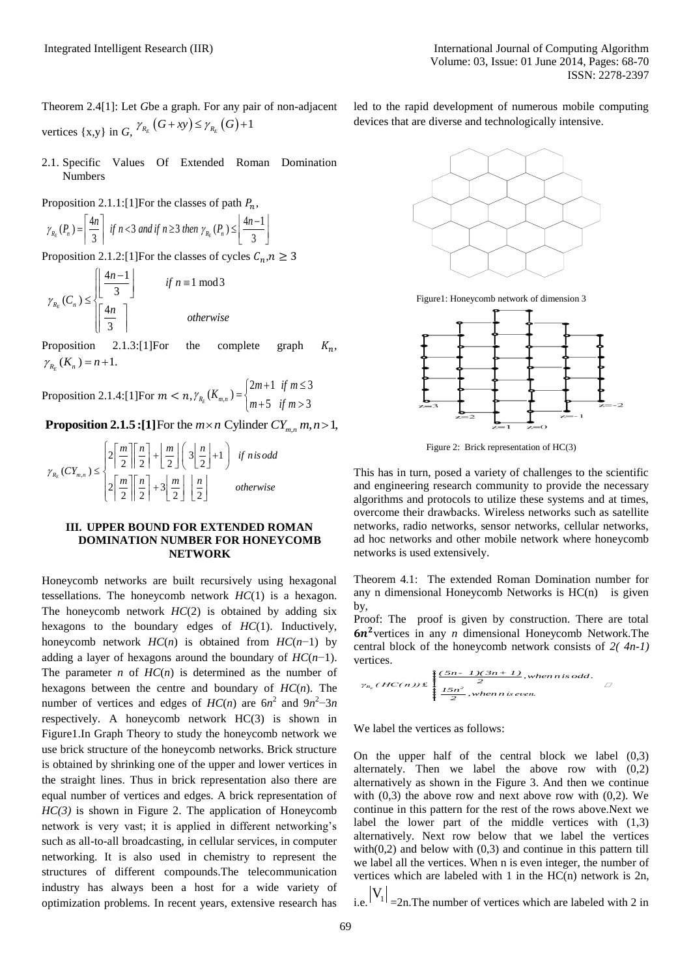Theorem 2.4[1]: Let *G*be a graph. For any pair of non-adjacent vertices  $\{x,y\}$  in *G*,  $\gamma_{R_E}(G+xy) \leq \gamma_{R_E}(G)+1$ 

- 2.1. Specific Values Of Extended Roman Domination Numbers
- 

Proposition 2.1.1:[1] For the classes of path 
$$
P_n
$$
,  
\n
$$
\gamma_{R_E}(P_n) = \left[\frac{4n}{3}\right] \text{ if } n < 3 \text{ and if } n \geq 3 \text{ then } \gamma_{R_E}(P_n) \leq \left\lfloor \frac{4n-1}{3} \right\rfloor
$$

Proposition 2.1.2:[1] For the classes of cycles 
$$
C_n, n
$$
  
\n
$$
\gamma_{R_E}(C_n) \le \begin{bmatrix} \left\lfloor \frac{4n-1}{3} \right\rfloor & \text{if } n \equiv 1 \text{ mod } 3 \\ \left\lfloor \frac{4n}{3} \right\rfloor & \text{otherwise} \end{bmatrix}
$$

Proposition 2.1.3:[1]For the complete graph  $K_n$ ,  $\gamma_{_{R_E}}(K_n) = n+1.$ 

Proposition 2.1.4:[1] For  $m < n, \gamma_{R_R}(K_{m_R})$  $(K_{m,n}) =\begin{cases} 2m+1 & \text{if } m \leq 3 \\ 0 & \text{if } m > 3 \end{cases}$  $E_{R_E}(K_{m,n}) = \begin{cases} m+5 & \text{if } m > 3 \end{cases}$  $\gamma_{_{R_E}}(K_{_{m,n}}) = \begin{cases} 2m+1 & \text{if } m \leq 3 \\ m+5 & \text{if } m > 3 \end{cases}$ Proposition 2.1.4:[1]For  $m < n$ ,  $\gamma_{R_E}(K_{m,n}) =\begin{cases} 2m+1 & \text{if } m \le 3 \\ m+5 & \text{if } m > 3 \end{cases}$ <br>**Proposition 2.1.5 :[1]**For the  $m \times n$  Cylinder  $CY_{m,n}$ ,  $m, n > 1$ ,

*m n*,

**Proposition 2.1.5: [1]** For the 
$$
m \times n
$$
 Cylinder C1  
\n
$$
\gamma_{R_E}(CY_{m,n}) \leq \begin{cases} 2\left\lceil \frac{m}{2} \right\rceil \left\lceil \frac{n}{2} \right\rceil + \left\lfloor \frac{m}{2} \right\rfloor \left(3\left\lfloor \frac{n}{2} \right\rfloor + 1\right) & \text{if } n \text{ is odd} \\ 2\left\lceil \frac{m}{2} \right\rceil \left\lceil \frac{n}{2} \right\rceil + 3\left\lfloor \frac{m}{2} \right\rfloor \left\lfloor \frac{n}{2} \right\rfloor & \text{otherwise} \end{cases}
$$

### **III. UPPER BOUND FOR EXTENDED ROMAN DOMINATION NUMBER FOR HONEYCOMB NETWORK**

Honeycomb networks are built recursively using hexagonal tessellations. The honeycomb network *HC*(1) is a hexagon. The honeycomb network *HC*(2) is obtained by adding six hexagons to the boundary edges of *HC*(1). Inductively, honeycomb network *HC*(*n*) is obtained from *HC*(*n*−1) by adding a layer of hexagons around the boundary of *HC*(*n*−1). The parameter  $n$  of  $HC(n)$  is determined as the number of hexagons between the centre and boundary of *HC*(*n*). The number of vertices and edges of  $HC(n)$  are  $6n^2$  and  $9n^2-3n$ respectively. A honeycomb network HC(3) is shown in Figure1.In Graph Theory to study the honeycomb network we use brick structure of the honeycomb networks. Brick structure is obtained by shrinking one of the upper and lower vertices in the straight lines. Thus in brick representation also there are equal number of vertices and edges. A brick representation of *HC(3)* is shown in Figure 2. The application of Honeycomb network is very vast; it is applied in different networking's such as all-to-all broadcasting, in cellular services, in computer networking. It is also used in chemistry to represent the structures of different compounds.The telecommunication industry has always been a host for a wide variety of optimization problems. In recent years, extensive research has is  $\sqrt{(B-x)^2} \le \gamma_{\infty} (G) + 1$  devices that are diverse and technologically intensive<br>
or the classes of point  $R_{\infty}$ .<br>  $\gamma_{\infty} = 1$  and  $\gamma_{\infty} = 1$  and  $\gamma_{\infty} = 1$  and  $\gamma_{\infty} = 1$  and  $\gamma_{\infty} = 1$  and  $\gamma_{\infty} = 1$  and

led to the rapid development of numerous mobile computing devices that are diverse and technologically intensive.



Figure1: Honeycomb network of dimension 3



Figure 2: Brick representation of HC(3)

This has in turn, posed a variety of challenges to the scientific and engineering research community to provide the necessary algorithms and protocols to utilize these systems and at times, overcome their drawbacks. Wireless networks such as satellite networks, radio networks, sensor networks, cellular networks, ad hoc networks and other mobile network where honeycomb networks is used extensively.

Theorem 4.1: The extended Roman Domination number for any n dimensional Honeycomb Networks is  $HC(n)$  is given by,

Proof: The proof is given by construction. There are total  $6n<sup>2</sup>$  vertices in any *n* dimensional Honeycomb Network. The central block of the honeycomb network consists of  $2(4n-1)$  vertices.<br> *i*<br> *i*  $(BC(n)) \in \int_{a}^{a} \frac{(5n-1)(3n+1)}{2}$ , *when nis odd.* vertices.

Fertices.  
\n
$$
\gamma_{R_E}(HC(n)) \mathcal{L} \begin{cases}\n\frac{(5n-1)(3n+1)}{2}, when n \text{ is odd.} \\
\frac{15n^2}{2}, when n \text{ is even.}\n\end{cases}
$$

We label the vertices as follows:

On the upper half of the central block we label (0,3) alternately. Then we label the above row with (0,2) alternatively as shown in the Figure 3. And then we continue with  $(0,3)$  the above row and next above row with  $(0,2)$ . We continue in this pattern for the rest of the rows above.Next we label the lower part of the middle vertices with (1,3) alternatively. Next row below that we label the vertices with $(0,2)$  and below with  $(0,3)$  and continue in this pattern till we label all the vertices. When n is even integer, the number of vertices which are labeled with 1 in the HC(n) network is 2n,

i.e.  $|V_1|$  = 2n. The number of vertices which are labeled with 2 in